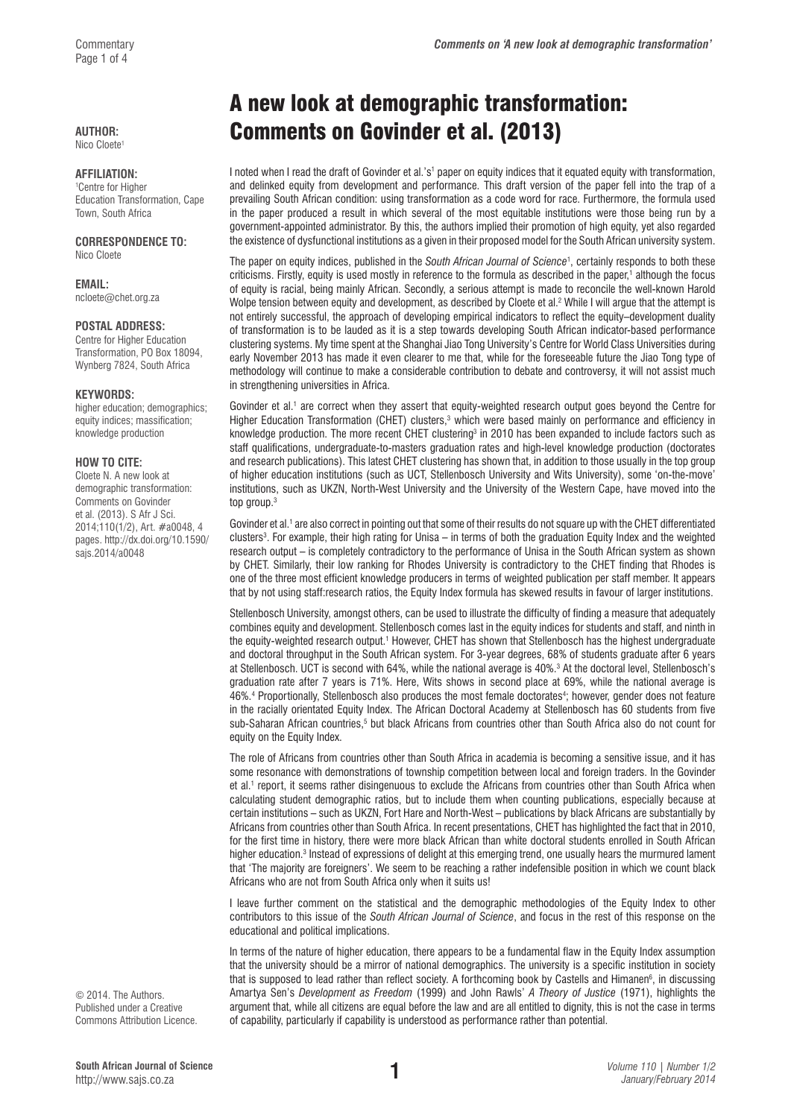### **AUTHOR:**

Nico Cloete1

#### **AFFILIATION:**

1 Centre for Higher Education Transformation, Cape Town, South Africa

#### **CORRESPONDENCE TO:**  Nico Cloete

**EMAIL:**  [ncloete@chet.org.za](mailto:ncloete@chet.org.za)

#### **POSTAL ADDRESS:**

Centre for Higher Education Transformation, PO Box 18094, Wynberg 7824, South Africa

#### **KEYWORDS:**

higher education; demographics; equity indices; massification; knowledge production

#### **HOW TO CITE:**

Cloete N. A new look at demographic transformation: Comments on Govinder et al. (2013). S Afr J Sci. 2014;110(1/2), Art. #a0048, 4 pages. [http://dx.doi.org/10.1590/](http://dx.doi.org/10.1590/sajs.2014/a0048) [sajs.2014/a0048](http://dx.doi.org/10.1590/sajs.2014/a0048)

© 2014. The Authors. Published under a Creative Commons Attribution Licence.

# A new look at demographic transformation: Comments on Govinder et al. (2013)

I noted when I read the draft of Govinder et al.'s<sup>1</sup> paper on equity indices that it equated equity with transformation, and delinked equity from development and performance. This draft version of the paper fell into the trap of a prevailing South African condition: using transformation as a code word for race. Furthermore, the formula used in the paper produced a result in which several of the most equitable institutions were those being run by a government-appointed administrator. By this, the authors implied their promotion of high equity, yet also regarded the existence of dysfunctional institutions as a given in their proposed model for the South African university system.

The paper on equity indices, published in the *South African Journal of Science*<sup>1</sup> , certainly responds to both these criticisms. Firstly, equity is used mostly in reference to the formula as described in the paper,1 although the focus of equity is racial, being mainly African. Secondly, a serious attempt is made to reconcile the well-known Harold Wolpe tension between equity and development, as described by Cloete et al.<sup>2</sup> While I will argue that the attempt is not entirely successful, the approach of developing empirical indicators to reflect the equity–development duality of transformation is to be lauded as it is a step towards developing South African indicator-based performance clustering systems. My time spent at the Shanghai Jiao Tong University's Centre for World Class Universities during early November 2013 has made it even clearer to me that, while for the foreseeable future the Jiao Tong type of methodology will continue to make a considerable contribution to debate and controversy, it will not assist much in strengthening universities in Africa.

Govinder et al.<sup>1</sup> are correct when they assert that equity-weighted research output goes beyond the Centre for Higher Education Transformation (CHET) clusters,<sup>3</sup> which were based mainly on performance and efficiency in knowledge production. The more recent CHET clustering<sup>3</sup> in 2010 has been expanded to include factors such as staff qualifications, undergraduate-to-masters graduation rates and high-level knowledge production (doctorates and research publications). This latest CHET clustering has shown that, in addition to those usually in the top group of higher education institutions (such as UCT, Stellenbosch University and Wits University), some 'on-the-move' institutions, such as UKZN, North-West University and the University of the Western Cape, have moved into the top group.<sup>3</sup>

Govinder et al.<sup>1</sup> are also correct in pointing out that some of their results do not square up with the CHET differentiated clusters<sup>3</sup>. For example, their high rating for Unisa – in terms of both the graduation Equity Index and the weighted research output – is completely contradictory to the performance of Unisa in the South African system as shown by CHET. Similarly, their low ranking for Rhodes University is contradictory to the CHET finding that Rhodes is one of the three most efficient knowledge producers in terms of weighted publication per staff member. It appears that by not using staff:research ratios, the Equity Index formula has skewed results in favour of larger institutions.

Stellenbosch University, amongst others, can be used to illustrate the difficulty of finding a measure that adequately combines equity and development. Stellenbosch comes last in the equity indices for students and staff, and ninth in the equity-weighted research output.1 However, CHET has shown that Stellenbosch has the highest undergraduate and doctoral throughput in the South African system. For 3-year degrees, 68% of students graduate after 6 years at Stellenbosch. UCT is second with 64%, while the national average is 40%.3 At the doctoral level, Stellenbosch's graduation rate after 7 years is 71%. Here, Wits shows in second place at 69%, while the national average is 46%.4 Proportionally, Stellenbosch also produces the most female doctorates4 ; however, gender does not feature in the racially orientated Equity Index. The African Doctoral Academy at Stellenbosch has 60 students from five sub-Saharan African countries,<sup>5</sup> but black Africans from countries other than South Africa also do not count for equity on the Equity Index.

The role of Africans from countries other than South Africa in academia is becoming a sensitive issue, and it has some resonance with demonstrations of township competition between local and foreign traders. In the Govinder et al.1 report, it seems rather disingenuous to exclude the Africans from countries other than South Africa when calculating student demographic ratios, but to include them when counting publications, especially because at certain institutions – such as UKZN, Fort Hare and North-West – publications by black Africans are substantially by Africans from countries other than South Africa. In recent presentations, CHET has highlighted the fact that in 2010, for the first time in history, there were more black African than white doctoral students enrolled in South African higher education.<sup>3</sup> Instead of expressions of delight at this emerging trend, one usually hears the murmured lament that 'The majority are foreigners'. We seem to be reaching a rather indefensible position in which we count black Africans who are not from South Africa only when it suits us!

I leave further comment on the statistical and the demographic methodologies of the Equity Index to other contributors to this issue of the *South African Journal of Science*, and focus in the rest of this response on the educational and political implications.

In terms of the nature of higher education, there appears to be a fundamental flaw in the Equity Index assumption that the university should be a mirror of national demographics. The university is a specific institution in society that is supposed to lead rather than reflect society. A forthcoming book by Castells and Himanen<sup>6</sup>, in discussing Amartya Sen's *Development as Freedom* (1999) and John Rawls' *A Theory of Justice* (1971), highlights the argument that, while all citizens are equal before the law and are all entitled to dignity, this is not the case in terms of capability, particularly if capability is understood as performance rather than potential.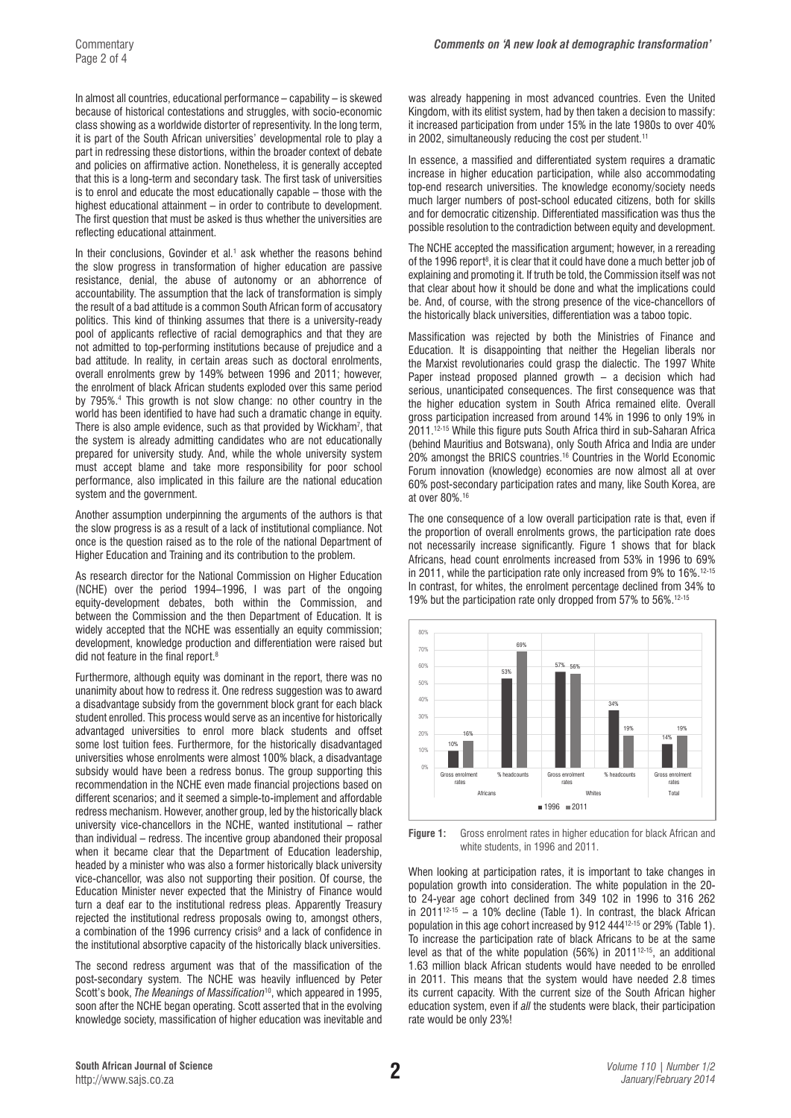In almost all countries, educational performance – capability – is skewed because of historical contestations and struggles, with socio-economic class showing as a worldwide distorter of representivity. In the long term, it is part of the South African universities' developmental role to play a part in redressing these distortions, within the broader context of debate and policies on affirmative action. Nonetheless, it is generally accepted that this is a long-term and secondary task. The first task of universities is to enrol and educate the most educationally capable – those with the highest educational attainment – in order to contribute to development. The first question that must be asked is thus whether the universities are reflecting educational attainment.

In their conclusions, Govinder et al.<sup>1</sup> ask whether the reasons behind the slow progress in transformation of higher education are passive resistance, denial, the abuse of autonomy or an abhorrence of accountability. The assumption that the lack of transformation is simply the result of a bad attitude is a common South African form of accusatory politics. This kind of thinking assumes that there is a university-ready pool of applicants reflective of racial demographics and that they are not admitted to top-performing institutions because of prejudice and a bad attitude. In reality, in certain areas such as doctoral enrolments, overall enrolments grew by 149% between 1996 and 2011; however, the enrolment of black African students exploded over this same period by 795%.4 This growth is not slow change: no other country in the world has been identified to have had such a dramatic change in equity. There is also ample evidence, such as that provided by Wickham<sup>7</sup>, that the system is already admitting candidates who are not educationally prepared for university study. And, while the whole university system must accept blame and take more responsibility for poor school performance, also implicated in this failure are the national education system and the government.

Another assumption underpinning the arguments of the authors is that the slow progress is as a result of a lack of institutional compliance. Not once is the question raised as to the role of the national Department of Higher Education and Training and its contribution to the problem.

As research director for the National Commission on Higher Education (NCHE) over the period 1994–1996, I was part of the ongoing equity-development debates, both within the Commission, and between the Commission and the then Department of Education. It is widely accepted that the NCHE was essentially an equity commission; development, knowledge production and differentiation were raised but did not feature in the final report.<sup>8</sup>

Furthermore, although equity was dominant in the report, there was no unanimity about how to redress it. One redress suggestion was to award a disadvantage subsidy from the government block grant for each black student enrolled. This process would serve as an incentive for historically advantaged universities to enrol more black students and offset some lost tuition fees. Furthermore, for the historically disadvantaged universities whose enrolments were almost 100% black, a disadvantage subsidy would have been a redress bonus. The group supporting this recommendation in the NCHE even made financial projections based on different scenarios; and it seemed a simple-to-implement and affordable redress mechanism. However, another group, led by the historically black university vice-chancellors in the NCHE, wanted institutional – rather than individual – redress. The incentive group abandoned their proposal when it became clear that the Department of Education leadership, headed by a minister who was also a former historically black university vice-chancellor, was also not supporting their position. Of course, the Education Minister never expected that the Ministry of Finance would turn a deaf ear to the institutional redress pleas. Apparently Treasury rejected the institutional redress proposals owing to, amongst others, a combination of the 1996 currency crisis<sup>9</sup> and a lack of confidence in the institutional absorptive capacity of the historically black universities.

The second redress argument was that of the massification of the post-secondary system. The NCHE was heavily influenced by Peter Scott's book, *The Meanings of Massification*10, which appeared in 1995, soon after the NCHE began operating. Scott asserted that in the evolving knowledge society, massification of higher education was inevitable and

was already happening in most advanced countries. Even the United Kingdom, with its elitist system, had by then taken a decision to massify: it increased participation from under 15% in the late 1980s to over 40% in 2002, simultaneously reducing the cost per student.<sup>11</sup>

In essence, a massified and differentiated system requires a dramatic increase in higher education participation, while also accommodating top-end research universities. The knowledge economy/society needs much larger numbers of post-school educated citizens, both for skills and for democratic citizenship. Differentiated massification was thus the possible resolution to the contradiction between equity and development.

The NCHE accepted the massification argument; however, in a rereading of the 1996 report<sup>8</sup>, it is clear that it could have done a much better job of explaining and promoting it. If truth be told, the Commission itself was not that clear about how it should be done and what the implications could be. And, of course, with the strong presence of the vice-chancellors of the historically black universities, differentiation was a taboo topic.

Massification was rejected by both the Ministries of Finance and Education. It is disappointing that neither the Hegelian liberals nor the Marxist revolutionaries could grasp the dialectic. The 1997 White Paper instead proposed planned growth – a decision which had serious, unanticipated consequences. The first consequence was that the higher education system in South Africa remained elite. Overall gross participation increased from around 14% in 1996 to only 19% in 2011.<sup>12-15</sup> While this figure puts South Africa third in sub-Saharan Africa (behind Mauritius and Botswana), only South Africa and India are under 20% amongst the BRICS countries.16 Countries in the World Economic Forum innovation (knowledge) economies are now almost all at over 60% post-secondary participation rates and many, like South Korea, are at over 80%.16

The one consequence of a low overall participation rate is that, even if the proportion of overall enrolments grows, the participation rate does not necessarily increase significantly. Figure 1 shows that for black Africans, head count enrolments increased from 53% in 1996 to 69% in 2011, while the participation rate only increased from 9% to 16%.12-15 In contrast, for whites, the enrolment percentage declined from 34% to 19% but the participation rate only dropped from 57% to 56%.12-15



**Figure 1:** Gross enrolment rates in higher education for black African and white students, in 1996 and 2011.

When looking at participation rates, it is important to take changes in population growth into consideration. The white population in the 20 to 24-year age cohort declined from 349 102 in 1996 to 316 262 in 2011<sup>12-15</sup> – a 10% decline (Table 1). In contrast, the black African population in this age cohort increased by 912 44412-15 or 29% (Table 1). To increase the participation rate of black Africans to be at the same level as that of the white population (56%) in 2011<sup>12-15</sup>, an additional 1.63 million black African students would have needed to be enrolled in 2011. This means that the system would have needed 2.8 times its current capacity. With the current size of the South African higher education system, even if *all* the students were black, their participation rate would be only 23%!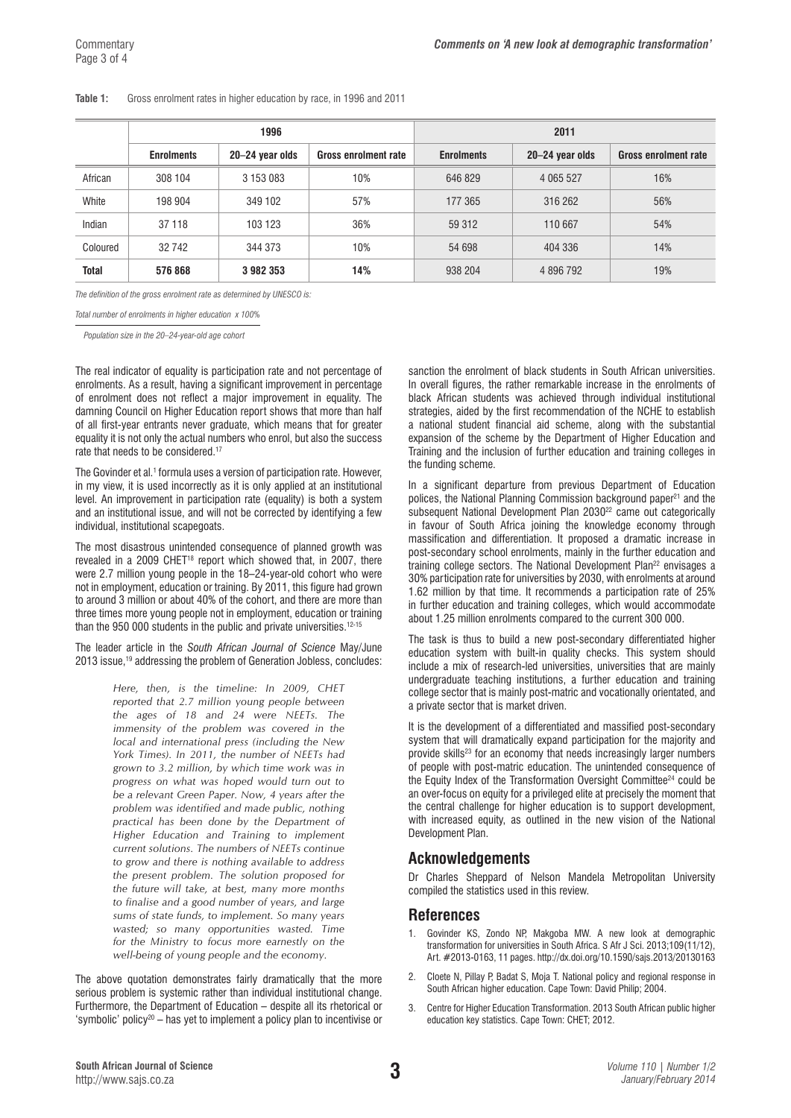#### **Table 1:** Gross enrolment rates in higher education by race, in 1996 and 2011

|              | 1996              |                 |                             | 2011              |                 |                             |
|--------------|-------------------|-----------------|-----------------------------|-------------------|-----------------|-----------------------------|
|              | <b>Enrolments</b> | 20-24 year olds | <b>Gross enrolment rate</b> | <b>Enrolments</b> | 20-24 year olds | <b>Gross enrolment rate</b> |
| African      | 308 104           | 3 153 083       | 10%                         | 646 829           | 4 0 6 5 5 2 7   | 16%                         |
| White        | 198 904           | 349 102         | 57%                         | 177 365           | 316 262         | 56%                         |
| Indian       | 37 118            | 103 123         | 36%                         | 59 312            | 110 667         | 54%                         |
| Coloured     | 32 742            | 344 373         | 10%                         | 54 698            | 404 336         | 14%                         |
| <b>Total</b> | 576 868           | 3982353         | 14%                         | 938 204           | 4 896 792       | 19%                         |

*The definition of the gross enrolment rate as determined by UNESCO is:*

*Total number of enrolments in higher education x 100%* 

*Population size in the 20–24-year-old age cohort* 

The real indicator of equality is participation rate and not percentage of enrolments. As a result, having a significant improvement in percentage of enrolment does not reflect a major improvement in equality. The damning Council on Higher Education report shows that more than half of all first-year entrants never graduate, which means that for greater equality it is not only the actual numbers who enrol, but also the success rate that needs to be considered.<sup>17</sup>

The Govinder et al.<sup>1</sup> formula uses a version of participation rate. However, in my view, it is used incorrectly as it is only applied at an institutional level. An improvement in participation rate (equality) is both a system and an institutional issue, and will not be corrected by identifying a few individual, institutional scapegoats.

The most disastrous unintended consequence of planned growth was revealed in a 2009 CHET<sup>18</sup> report which showed that, in 2007, there were 2.7 million young people in the 18–24-year-old cohort who were not in employment, education or training. By 2011, this figure had grown to around 3 million or about 40% of the cohort, and there are more than three times more young people not in employment, education or training than the 950 000 students in the public and private universities.<sup>12-15</sup>

The leader article in the *South African Journal of Science* May/June 2013 issue,<sup>19</sup> addressing the problem of Generation Jobless, concludes:

> *Here, then, is the timeline: In 2009, CHET reported that 2.7 million young people between the ages of 18 and 24 were NEETs. The immensity of the problem was covered in the local and international press (including the New York Times). In 2011, the number of NEETs had grown to 3.2 million, by which time work was in progress on what was hoped would turn out to be a relevant Green Paper. Now, 4 years after the problem was identified and made public, nothing practical has been done by the Department of Higher Education and Training to implement current solutions. The numbers of NEETs continue to grow and there is nothing available to address the present problem. The solution proposed for the future will take, at best, many more months to finalise and a good number of years, and large sums of state funds, to implement. So many years wasted; so many opportunities wasted. Time for the Ministry to focus more earnestly on the well-being of young people and the economy.*

The above quotation demonstrates fairly dramatically that the more serious problem is systemic rather than individual institutional change. Furthermore, the Department of Education – despite all its rhetorical or 'symbolic' policy<sup>20</sup> – has yet to implement a policy plan to incentivise or

sanction the enrolment of black students in South African universities. In overall figures, the rather remarkable increase in the enrolments of black African students was achieved through individual institutional strategies, aided by the first recommendation of the NCHE to establish a national student financial aid scheme, along with the substantial expansion of the scheme by the Department of Higher Education and Training and the inclusion of further education and training colleges in the funding scheme.

In a significant departure from previous Department of Education polices, the National Planning Commission background paper<sup>21</sup> and the subsequent National Development Plan 2030<sup>22</sup> came out categorically in favour of South Africa joining the knowledge economy through massification and differentiation. It proposed a dramatic increase in post-secondary school enrolments, mainly in the further education and training college sectors. The National Development Plan<sup>22</sup> envisages a 30% participation rate for universities by 2030, with enrolments at around 1.62 million by that time. It recommends a participation rate of 25% in further education and training colleges, which would accommodate about 1.25 million enrolments compared to the current 300 000.

The task is thus to build a new post-secondary differentiated higher education system with built-in quality checks. This system should include a mix of research-led universities, universities that are mainly undergraduate teaching institutions, a further education and training college sector that is mainly post-matric and vocationally orientated, and a private sector that is market driven.

It is the development of a differentiated and massified post-secondary system that will dramatically expand participation for the majority and provide skills<sup>23</sup> for an economy that needs increasingly larger numbers of people with post-matric education. The unintended consequence of the Equity Index of the Transformation Oversight Committee24 could be an over-focus on equity for a privileged elite at precisely the moment that the central challenge for higher education is to support development, with increased equity, as outlined in the new vision of the National Development Plan.

## **Acknowledgements**

Dr Charles Sheppard of Nelson Mandela Metropolitan University compiled the statistics used in this review.

## **References**

- 1. Govinder KS, Zondo NP, Makgoba MW. A new look at demographic transformation for universities in South Africa. S Afr J Sci. 2013;109(11/12), Art. #2013-0163, 11 pages. <http://dx.doi.org/10.1590/sajs.2013/20130163>
- 2. Cloete N, Pillay P, Badat S, Moja T. National policy and regional response in South African higher education. Cape Town: David Philip; 2004.
- 3. Centre for Higher Education Transformation. 2013 South African public higher education key statistics. Cape Town: CHET; 2012.